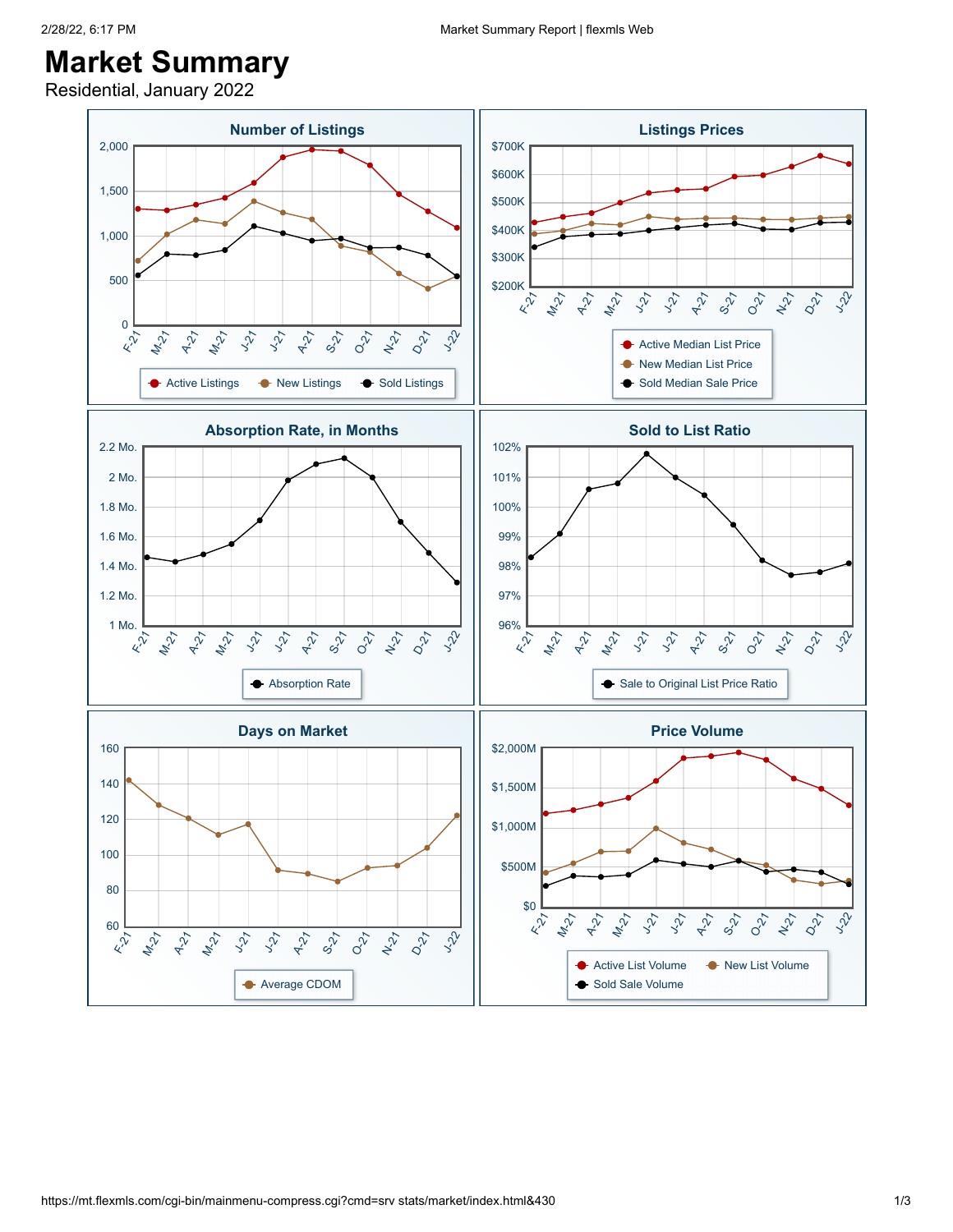## 2/28/22, 6:17 PM Market Summary Report | flexmls Web

## **Market Summary**

Residential, January 2022

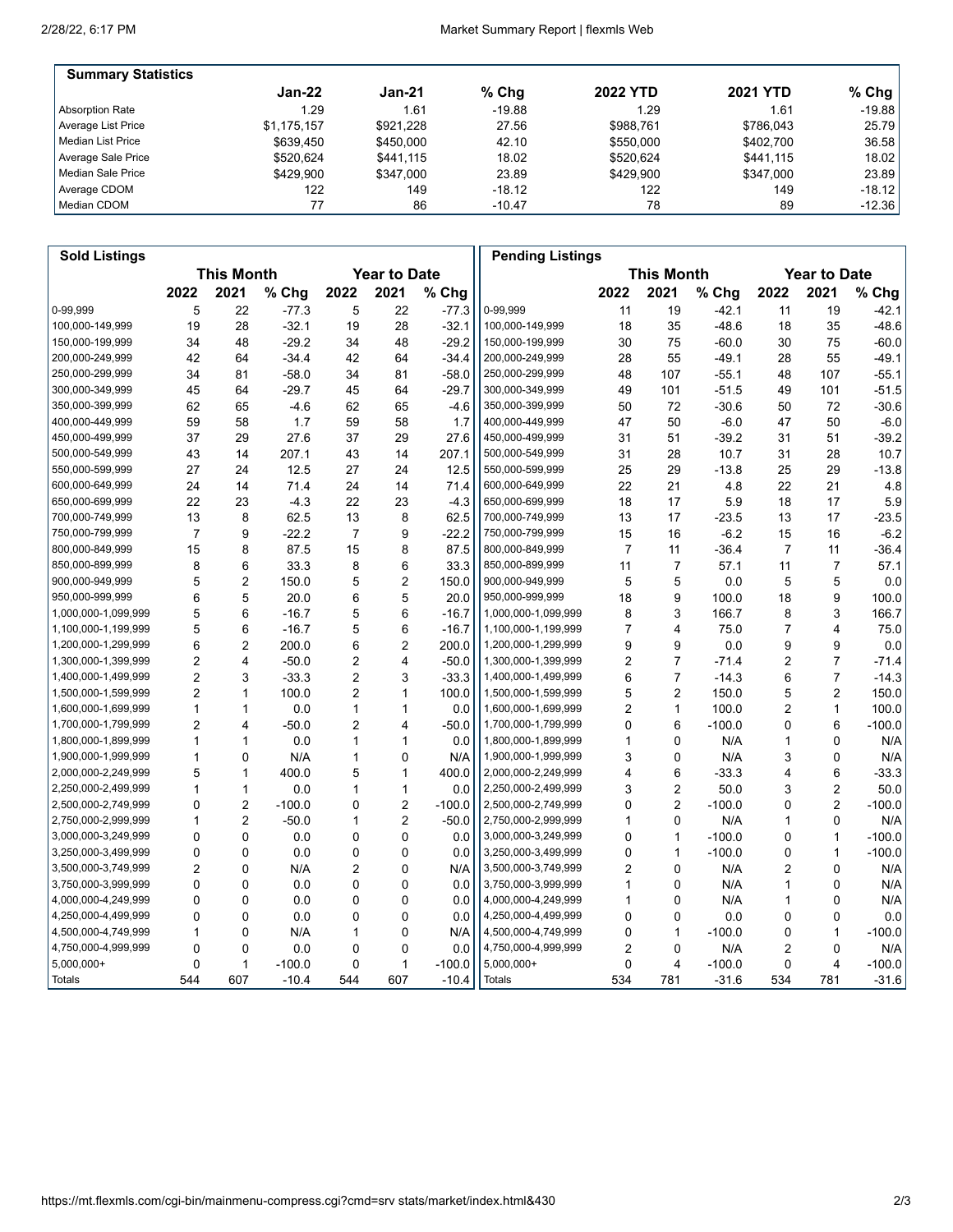'n

| <b>Summary Statistics</b> |             |           |          |                 |                 |           |
|---------------------------|-------------|-----------|----------|-----------------|-----------------|-----------|
|                           | $Jan-22$    | $Jan-21$  | $%$ Chq  | <b>2022 YTD</b> | <b>2021 YTD</b> | % Chg $ $ |
| Absorption Rate           | 1.29        | 1.61      | $-19.88$ | 1.29            | 1.61            | $-19.88$  |
| Average List Price        | \$1.175.157 | \$921.228 | 27.56    | \$988.761       | \$786.043       | 25.79     |
| l Median List Price       | \$639.450   | \$450,000 | 42.10    | \$550,000       | \$402.700       | 36.58     |
| Average Sale Price        | \$520.624   | \$441.115 | 18.02    | \$520.624       | \$441,115       | 18.02     |
| Median Sale Price         | \$429.900   | \$347.000 | 23.89    | \$429.900       | \$347.000       | 23.89     |
| Average CDOM              | 122         | 149       | $-18.12$ | 122             | 149             | $-18.12$  |
| l Median CDOM             |             | 86        | $-10.47$ | 78              | 89              | $-12.36$  |

| <b>Sold Listings</b> |                |                   |          |                |                     |          | <b>Pending Listings</b> |                |                         |          |              |                     |          |
|----------------------|----------------|-------------------|----------|----------------|---------------------|----------|-------------------------|----------------|-------------------------|----------|--------------|---------------------|----------|
|                      |                | <b>This Month</b> |          |                | <b>Year to Date</b> |          |                         |                | <b>This Month</b>       |          |              | <b>Year to Date</b> |          |
|                      | 2022           | 2021              | % Chg    | 2022           | 2021                | % Chg    |                         | 2022           | 2021                    | % Chg    | 2022         | 2021                | % Chg    |
| 0-99,999             | 5              | 22                | $-77.3$  | 5              | 22                  | $-77.3$  | 0-99,999                | 11             | 19                      | $-42.1$  | 11           | 19                  | $-42.1$  |
| 100,000-149,999      | 19             | 28                | $-32.1$  | 19             | 28                  | $-32.1$  | 100,000-149,999         | 18             | 35                      | $-48.6$  | 18           | 35                  | $-48.6$  |
| 150,000-199,999      | 34             | 48                | $-29.2$  | 34             | 48                  | $-29.2$  | 150,000-199,999         | 30             | 75                      | $-60.0$  | 30           | 75                  | $-60.0$  |
| 200,000-249,999      | 42             | 64                | $-34.4$  | 42             | 64                  | $-34.4$  | 200,000-249,999         | 28             | 55                      | $-49.1$  | 28           | 55                  | $-49.1$  |
| 250,000-299,999      | 34             | 81                | $-58.0$  | 34             | 81                  | $-58.0$  | 250,000-299,999         | 48             | 107                     | $-55.1$  | 48           | 107                 | $-55.1$  |
| 300,000-349,999      | 45             | 64                | $-29.7$  | 45             | 64                  | $-29.7$  | 300,000-349,999         | 49             | 101                     | $-51.5$  | 49           | 101                 | $-51.5$  |
| 350,000-399,999      | 62             | 65                | $-4.6$   | 62             | 65                  | $-4.6$   | 350,000-399,999         | 50             | 72                      | $-30.6$  | 50           | 72                  | $-30.6$  |
| 400,000-449,999      | 59             | 58                | 1.7      | 59             | 58                  | 1.7      | 400,000-449,999         | 47             | 50                      | $-6.0$   | 47           | 50                  | $-6.0$   |
| 450,000-499,999      | 37             | 29                | 27.6     | 37             | 29                  | 27.6     | 450,000-499,999         | 31             | 51                      | $-39.2$  | 31           | 51                  | $-39.2$  |
| 500,000-549,999      | 43             | 14                | 207.1    | 43             | 14                  | 207.1    | 500,000-549,999         | 31             | 28                      | 10.7     | 31           | 28                  | 10.7     |
| 550,000-599,999      | 27             | 24                | 12.5     | 27             | 24                  | 12.5     | 550,000-599,999         | 25             | 29                      | $-13.8$  | 25           | 29                  | $-13.8$  |
| 600,000-649,999      | 24             | 14                | 71.4     | 24             | 14                  | 71.4     | 600,000-649,999         | 22             | 21                      | 4.8      | 22           | 21                  | 4.8      |
| 650,000-699,999      | 22             | 23                | $-4.3$   | 22             | 23                  | $-4.3$   | 650,000-699,999         | 18             | 17                      | 5.9      | 18           | 17                  | 5.9      |
| 700,000-749,999      | 13             | 8                 | 62.5     | 13             | 8                   | 62.5     | 700,000-749,999         | 13             | 17                      | $-23.5$  | 13           | 17                  | $-23.5$  |
| 750,000-799,999      | $\overline{7}$ | 9                 | $-22.2$  | $\overline{7}$ | 9                   | $-22.2$  | 750,000-799,999         | 15             | 16                      | $-6.2$   | 15           | 16                  | $-6.2$   |
| 800,000-849,999      | 15             | 8                 | 87.5     | 15             | 8                   | 87.5     | 800,000-849,999         | $\overline{7}$ | 11                      | $-36.4$  | 7            | 11                  | $-36.4$  |
| 850,000-899,999      | 8              | 6                 | 33.3     | 8              | 6                   | 33.3     | 850,000-899,999         | 11             | $\overline{7}$          | 57.1     | 11           | 7                   | 57.1     |
| 900,000-949,999      | 5              | $\overline{2}$    | 150.0    | 5              | $\overline{2}$      | 150.0    | 900,000-949,999         | 5              | 5                       | 0.0      | 5            | 5                   | 0.0      |
| 950,000-999,999      | 6              | 5                 | 20.0     | 6              | 5                   | 20.0     | 950,000-999,999         | 18             | 9                       | 100.0    | 18           | 9                   | 100.0    |
| 1,000,000-1,099,999  | 5              | 6                 | $-16.7$  | 5              | 6                   | $-16.7$  | 1,000,000-1,099,999     | 8              | 3                       | 166.7    | 8            | 3                   | 166.7    |
| 1,100,000-1,199,999  | 5              | 6                 | $-16.7$  | 5              | 6                   | $-16.7$  | 1,100,000-1,199,999     | $\overline{7}$ | 4                       | 75.0     | 7            | 4                   | 75.0     |
| 1,200,000-1,299,999  | 6              | 2                 | 200.0    | 6              | $\overline{2}$      | 200.0    | 1,200,000-1,299,999     | 9              | 9                       | 0.0      | 9            | 9                   | 0.0      |
| 1,300,000-1,399,999  | 2              | 4                 | $-50.0$  | 2              | 4                   | $-50.0$  | 1,300,000-1,399,999     | 2              | $\overline{7}$          | $-71.4$  | 2            | $\overline{7}$      | $-71.4$  |
| 1,400,000-1,499,999  | $\overline{2}$ | 3                 | $-33.3$  | 2              | 3                   | $-33.3$  | 1,400,000-1,499,999     | 6              | $\overline{7}$          | $-14.3$  | 6            | $\overline{7}$      | $-14.3$  |
| 1,500,000-1,599,999  | 2              | 1                 | 100.0    | 2              | $\mathbf{1}$        | 100.0    | 1,500,000-1,599,999     | 5              | $\overline{2}$          | 150.0    | 5            | $\overline{2}$      | 150.0    |
| 1,600,000-1,699,999  | 1              | 1                 | 0.0      | 1              | $\mathbf{1}$        | 0.0      | 1,600,000-1,699,999     | 2              | $\mathbf{1}$            | 100.0    | 2            | $\mathbf{1}$        | 100.0    |
| 1,700,000-1,799,999  | 2              | 4                 | $-50.0$  | 2              | 4                   | $-50.0$  | 1,700,000-1,799,999     | 0              | 6                       | $-100.0$ | 0            | 6                   | $-100.0$ |
| 1,800,000-1,899,999  | 1              | 1                 | 0.0      | 1              | 1                   | 0.0      | 1,800,000-1,899,999     | 1              | 0                       | N/A      | 1            | 0                   | N/A      |
| 1,900,000-1,999,999  | 1              | 0                 | N/A      | 1              | 0                   | N/A      | 1,900,000-1,999,999     | 3              | $\mathbf{0}$            | N/A      | 3            | 0                   | N/A      |
| 2,000,000-2,249,999  | 5              | 1                 | 400.0    | 5              | $\mathbf{1}$        | 400.0    | 2,000,000-2,249,999     | 4              | 6                       | $-33.3$  | 4            | 6                   | $-33.3$  |
| 2,250,000-2,499,999  | 1              | 1                 | 0.0      | 1              | $\mathbf{1}$        | 0.0      | 2,250,000-2,499,999     | 3              | $\overline{2}$          | 50.0     | 3            | 2                   | 50.0     |
| 2,500,000-2,749,999  | 0              | $\overline{2}$    | $-100.0$ | 0              | $\overline{c}$      | $-100.0$ | 2,500,000-2,749,999     | 0              | $\overline{\mathbf{c}}$ | $-100.0$ | 0            | $\overline{c}$      | $-100.0$ |
| 2,750,000-2,999,999  | 1              | $\overline{2}$    | $-50.0$  | 1              | $\overline{2}$      | $-50.0$  | 2,750,000-2,999,999     | 1              | $\mathbf 0$             | N/A      | $\mathbf{1}$ | 0                   | N/A      |
| 3,000,000-3,249,999  | 0              | 0                 | 0.0      | 0              | 0                   | 0.0      | 3,000,000-3,249,999     | 0              | 1                       | $-100.0$ | 0            | $\mathbf{1}$        | $-100.0$ |
| 3,250,000-3,499,999  | 0              | 0                 | 0.0      | 0              | 0                   | 0.0      | 3,250,000-3,499,999     | 0              | $\mathbf{1}$            | $-100.0$ | 0            | $\mathbf{1}$        | $-100.0$ |
| 3,500,000-3,749,999  | 2              | 0                 | N/A      | $\overline{2}$ | 0                   | N/A      | 3,500,000-3,749,999     | 2              | $\mathbf{0}$            | N/A      | 2            | 0                   | N/A      |
| 3,750,000-3,999,999  | 0              | 0                 | 0.0      | 0              | 0                   | 0.0      | 3,750,000-3,999,999     | 1              | 0                       | N/A      | 1            | 0                   | N/A      |
| 4,000,000-4,249,999  | 0              | $\mathbf{0}$      | 0.0      | 0              | 0                   | 0.0      | 4,000,000-4,249,999     | 1              | $\mathbf{0}$            | N/A      | $\mathbf{1}$ | 0                   | N/A      |
| 4,250,000-4,499,999  | 0              | $\mathbf 0$       | 0.0      | 0              | 0                   | 0.0      | 4,250,000-4,499,999     | 0              | 0                       | 0.0      | 0            | 0                   | 0.0      |
| 4,500,000-4,749,999  | 1              | 0                 | N/A      | 1              | 0                   | N/A      | 4,500,000-4,749,999     | 0              | 1                       | $-100.0$ | 0            | $\mathbf{1}$        | $-100.0$ |
| 4,750,000-4,999,999  | 0              | $\Omega$          | 0.0      | $\mathbf 0$    | $\mathbf 0$         | 0.0      | 4,750,000-4,999,999     | 2              | $\Omega$                | N/A      | 2            | 0                   | N/A      |
| $5,000,000+$         | 0              | 1                 | $-100.0$ | 0              | $\mathbf{1}$        | $-100.0$ | $5,000,000+$            | 0              | 4                       | $-100.0$ | 0            | 4                   | $-100.0$ |
| Totals               | 544            | 607               | $-10.4$  | 544            | 607                 | $-10.4$  | Totals                  | 534            | 781                     | $-31.6$  | 534          | 781                 | $-31.6$  |